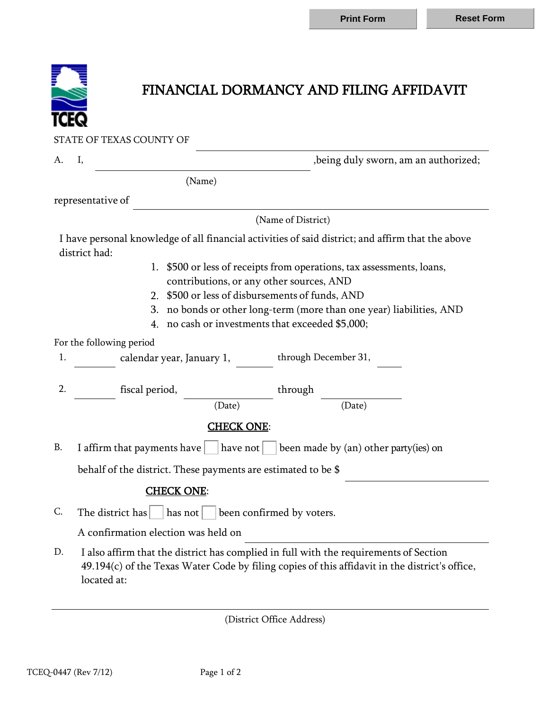

## FINANCIAL DORMANCY AND FILING AFFIDAVIT

STATE OF TEXAS COUNTY OF

A. I,  $\qquad \qquad$  , being duly sworn, am an authorized;

(Name)

representative of

(Name of District)

I have personal knowledge of all financial activities of said district; and affirm that the above district had:

- 1. \$500 or less of receipts from operations, tax assessments, loans, contributions, or any other sources, AND
- 2. \$500 or less of disbursements of funds, AND
- 3. no bonds or other long-term (more than one year) liabilities, AND
- 4. no cash or investments that exceeded \$5,000;

For the following period

1. calendar year, January 1, through December 31,

2. fiscal period, through

## (Date) (Date)

## CHECK ONE:

B. I affirm that payments have  $\vert$  have not  $\vert$  been made by (an) other party(ies) on

behalf of the district. These payments are estimated to be \$

## CHECK ONE:

C. The district has has not been confirmed by voters.

A confirmation election was held on

D. I also affirm that the district has complied in full with the requirements of Section 49.194(c) of the Texas Water Code by filing copies of this affidavit in the district's office, located at:

(District Office Address)